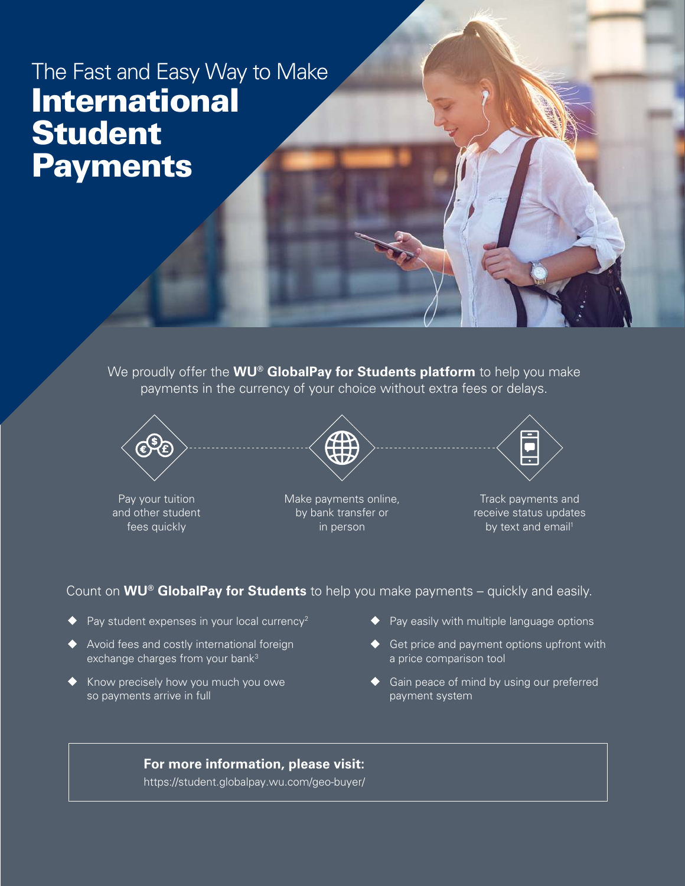# The Fast and Easy Way to Make International Student **Payments**

We proudly offer the **WU® GlobalPay for Students platform** to help you make payments in the currency of your choice without extra fees or delays.



Pay your tuition and other student fees quickly



Make payments online, by bank transfer or in person



Track payments and receive status updates by text and email<sup>1</sup>

Count on **WU® GlobalPay for Students** to help you make payments – quickly and easily.

- Pay student expenses in your local currency<sup>2</sup>
- ◆ Avoid fees and costly international foreign exchange charges from your bank<sup>3</sup>
- Know precisely how you much you owe so payments arrive in full
- ◆ Pay easily with multiple language options
- ◆ Get price and payment options upfront with a price comparison tool
- ◆ Gain peace of mind by using our preferred payment system

#### **For more information, please visit:**

[https://student.globalpay.wu.com/geo-buye](https://student.globalpay.wu.com/geo-buyer/#!/landing)r/